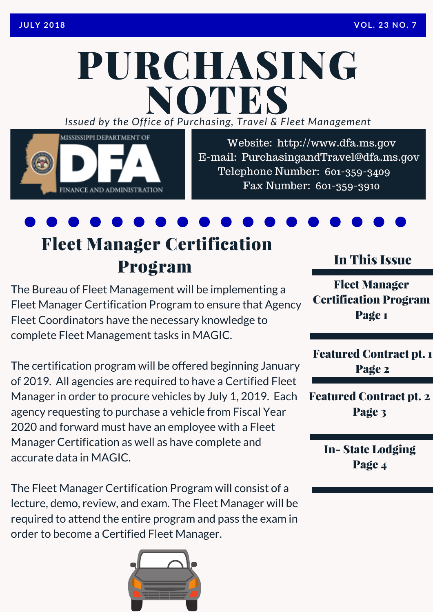# PURCHASING *Issued by the Off ice of Purcha sing, T ravel & Fleet Management* NOTES



Website: http://www.dfa.ms.gov E-mail: [PurchasingandTravel@dfa.ms.gov](http://www.dfa.ms.gov/) Telephone Number: 601-359-3409 Fax Number: 601-359-3910

# Fleet Manager Certification

# Program

The Bureau of Fleet Management will be implementing a Fleet Manager Certification Program to ensure that Agency Fleet Coordinators have the necessary knowledge to complete Fleet Management tasks in MAGIC.

The certification program will be offered beginning January of 2019. All agencies are required to have a Certified Fleet Manager in order to procure vehicles by July 1, 2019. Each agency requesting to purchase a vehicle from Fiscal Year 2020 and forward must have an employee with a Fleet Manager Certification as well as have complete and accurate data in MAGIC.

The Fleet Manager Certification Program will consist of a lecture, demo, review, and exam. The Fleet Manager will be required to attend the entire program and pass the exam in order to become a Certified Fleet Manager.



## In This Issue

Fleet Manager Certification Program Page 1

Featured Contract pt. 1 Page 2

Featured Contract pt. 2 Page 3

> In- State Lodging Page 4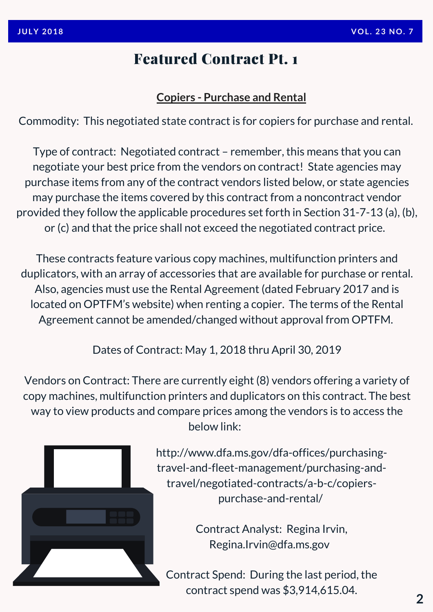## Featured Contract Pt. 1

#### **Copiers - Purchase and Rental**

Commodity: This negotiated state contract is for copiers for purchase and rental.

Type of contract: Negotiated contract – remember, this means that you can negotiate your best price from the vendors on contract! State agencies may purchase items from any of the contract vendors listed below, or state agencies may purchase the items covered by this contract from a noncontract vendor provided they follow the applicable procedures set forth in Section 31-7-13 (a), (b), or (c) and that the price shall not exceed the negotiated contract price.

These contracts feature various copy machines, multifunction printers and duplicators, with an array of accessories that are available for purchase or rental. Also, agencies must use the Rental Agreement (dated February 2017 and is located on OPTFM's website) when renting a copier. The terms of the Rental Agreement cannot be [amended/changed](http://www.dfa.ms.gov/media/1567/travelcardprogramcoordinatordesignation.pdf) without approval from OPTFM.

Dates of Contract: May 1, 2018 thru April 30, 2019

Vendors on Contract: There are currently eight (8) vendors offering a variety of copy machines, multifunction printers and duplicators on this contract. The best way to view products and compare prices among the vendors is to access the below link:



[http://www.dfa.ms.gov/dfa-offices/purchasing](http://www.dfa.ms.gov/dfa-offices/purchasing-travel-and-fleet-management/purchasing-and-travel/negotiated-contracts/a-b-c/copiers-purchase-and-rental/)travel-and-fleet-management/purchasing-andtravel/negotiated-contracts/a-b-c/copierspurchase-and-rental/

> Contract Analyst: Regina Irvin, Regina.Irvin@dfa.ms.gov

Contract Spend: During the last period, the contract spend was \$3,914,615.04.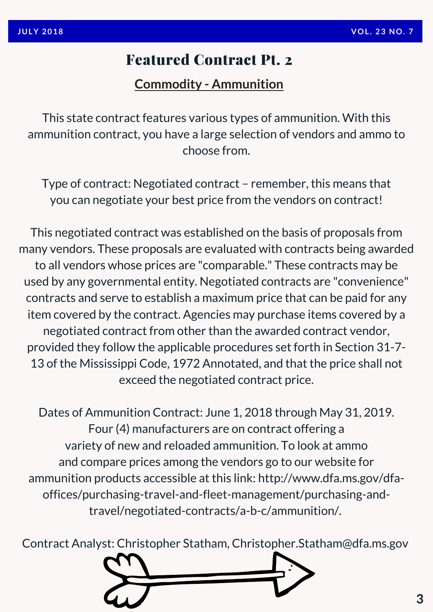# Featured Contract Pt. 2

#### **Commodity - Ammunition**

This state contract features various types of ammunition. With this ammunition contract, you have a large selection of vendors and ammo to choose from.

Type of contract: Negotiated contract – remember, this means that you can negotiate your best price from the vendors on contract!

This negotiated contract was established on the basis of proposals from many vendors. These proposals are evaluated with contracts being awarded to all vendors whose prices are "comparable." These contracts may be used by any governmental entity. Negotiated contracts are "convenience" contracts and serve to establish a maximum price that can be paid for any item covered by the contract. Agencies may purchase items covered by a negotiated contract from other than the awarded contract vendor, provided they follow the applicable procedures set forth in Section 31-7- 13 of the Mississippi Code, 1972 Annotated, and that the price shall not exceed the negotiated contract price.

Dates of Ammunition Contract: June 1, 2018 through May 31, 2019. Four (4) manufacturers are on contract offering a variety of new and reloaded ammunition. To look at ammo and compare prices among the vendors go to our website for ammunition products accessible at this link: http://www.dfa.ms.gov/dfa[offices/purchasing-travel-and-fleet-management/purchasing-and](http://www.dfa.ms.gov/dfa-offices/purchasing-travel-and-fleet-management/purchasing-and-travel/negotiated-contracts/a-b-c/ammunition/)travel/negotiated-contracts/a-b-c/ammunition/.

Contract Analyst: Christopher Statham, Christopher.Statham@dfa.ms.gov

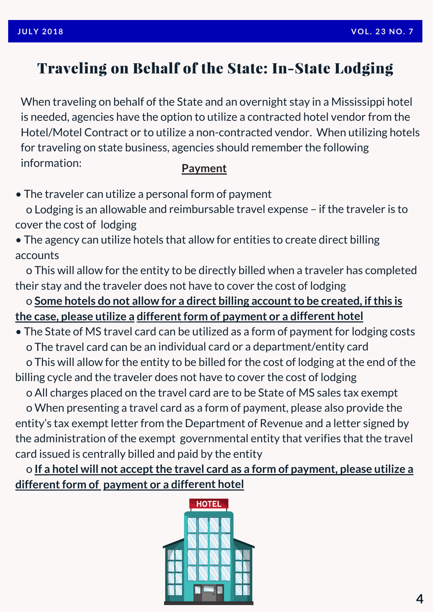### Traveling on Behalf of the State: In-State Lodging

When traveling on behalf of the State and an overnight stay in a Mississippi hotel is needed, agencies have the option to utilize a contracted hotel vendor from the Hotel/Motel Contract or to utilize a non-contracted vendor. When utilizing hotels for traveling on state business, agencies should remember the following information:

#### **Payment**

• The traveler can utilize <sup>a</sup> personal form of payment

<sup>o</sup> Lodging is an allowable and reimbursable travel expense – if the traveler is to cover the cost of lodging

• The agency can utilize hotels that allow for entities to create direct billing accounts

<sup>o</sup> This will allow for the entity to be directly billed when <sup>a</sup> traveler has completed their stay and the traveler does not have to cover the cost of lodging

<sup>o</sup> **Some hotels do not allow for <sup>a</sup> direct billing accountto be created, ifthis is the case, please utilize <sup>a</sup> differentform of payment or <sup>a</sup> different hotel**

• The State of MS travel card can be utilized as <sup>a</sup> form of payment for lodging costs <sup>o</sup> The travel card can be an individual card or <sup>a</sup> department/entity card

<sup>o</sup> This will allow for the entity to be billed for the cost of lodging at the end of the billing cycle and the traveler does not have to cover the cost of lodging

<sup>o</sup> All charges placed on the travel card are to be State of MS sales tax exempt

<sup>o</sup> When presenting <sup>a</sup> travel card as <sup>a</sup> form of payment, please also provide the entity's tax exempt letter from the Department of Revenue and <sup>a</sup> letter signed by the administration of the exempt governmental entity that verifies that the travel card issued is centrally billed and paid by the entity

<sup>o</sup> **If <sup>a</sup> hotel will not acceptthe travel card as <sup>a</sup> form of payment, please utilize <sup>a</sup> different form of payment or a different hotel** 

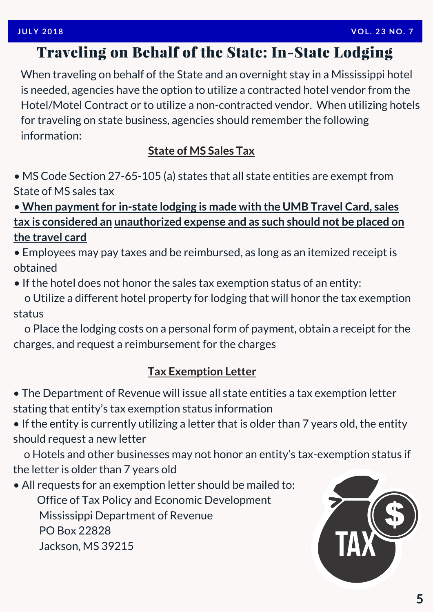# Traveling on Behalf of the State: In-State Lodging

When traveling on behalf of the State and an overnight stay in a Mississippi hotel is needed, agencies have the option to utilize a contracted hotel vendor from the Hotel/Motel Contract or to utilize a non-contracted vendor. When utilizing hotels for traveling on state business, agencies should remember the following information:

#### **State of MS Sales Tax**

- MS Code Section 27-65-105 (a) states that all state entities are exempt from State of MS sales tax
- **When paymentfor in-state lodging is made with the UMB Travel Card, sales tax is considered an unauthorized expense and as such should not be placed on the travel card**
- Employees may pay taxes and be reimbursed, as long as an itemized receipt is obtained
- If the hotel does not honor the sales tax exemption status of an entity:
- o Utilize a different hotel property for lodging that will honor the tax exemption status
- o Place the lodging costs on a personal form of payment, obtain a receipt for the charges, and request a reimbursement for the charges

#### **Tax Exemption Letter**

- The Department of Revenue will issue all state entities a tax exemption letter stating that entity's tax exemption status information
- If the entity is currently utilizing a letter that is older than 7 years old, the entity should request a new letter

o Hotels and other businesses may not honor an entity's tax-exemption status if the letter is older than 7 years old

• All requests for an exemption letter should be mailed to: Office of Tax Policy and Economic Development Mississippi Department of Revenue PO Box 22828 Jackson, MS 39215